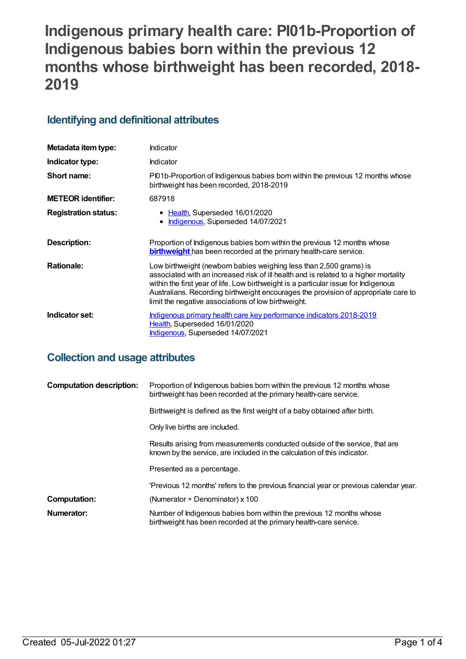# **Indigenous primary health care: PI01b-Proportion of Indigenous babies born within the previous 12 months whose birthweight has been recorded, 2018- 2019**

## **Identifying and definitional attributes**

| Metadata item type:         | Indicator                                                                                                                                                                                                                                                                                                                                                                                      |
|-----------------------------|------------------------------------------------------------------------------------------------------------------------------------------------------------------------------------------------------------------------------------------------------------------------------------------------------------------------------------------------------------------------------------------------|
| Indicator type:             | Indicator                                                                                                                                                                                                                                                                                                                                                                                      |
| Short name:                 | Pl01b-Proportion of Indigenous babies born within the previous 12 months whose<br>birthweight has been recorded, 2018-2019                                                                                                                                                                                                                                                                     |
| <b>METEOR identifier:</b>   | 687918                                                                                                                                                                                                                                                                                                                                                                                         |
| <b>Registration status:</b> | • Health, Superseded 16/01/2020<br>Indigenous, Superseded 14/07/2021<br>$\bullet$                                                                                                                                                                                                                                                                                                              |
| Description:                | Proportion of Indigenous babies born within the previous 12 months whose<br><b>birthweight</b> has been recorded at the primary health-care service.                                                                                                                                                                                                                                           |
| <b>Rationale:</b>           | Low birthweight (newborn babies weighing less than 2,500 grams) is<br>associated with an increased risk of ill health and is related to a higher mortality<br>within the first year of life. Low birthweight is a particular issue for Indigenous<br>Australians. Recording birthweight encourages the provision of appropriate care to<br>limit the negative associations of low birthweight. |
| Indicator set:              | Indigenous primary health care key performance indicators 2018-2019<br>Health, Superseded 16/01/2020<br>Indigenous, Superseded 14/07/2021                                                                                                                                                                                                                                                      |

## **Collection and usage attributes**

| <b>Computation description:</b> | Proportion of Indigenous babies born within the previous 12 months whose<br>birthweight has been recorded at the primary health-care service.            |
|---------------------------------|----------------------------------------------------------------------------------------------------------------------------------------------------------|
|                                 | Birthweight is defined as the first weight of a baby obtained after birth.                                                                               |
|                                 | Only live births are included.                                                                                                                           |
|                                 | Results arising from measurements conducted outside of the service, that are<br>known by the service, are included in the calculation of this indicator. |
|                                 | Presented as a percentage.                                                                                                                               |
|                                 | 'Previous 12 months' refers to the previous financial year or previous calendar year.                                                                    |
| <b>Computation:</b>             | (Numerator $\div$ Denominator) x 100                                                                                                                     |
| Numerator:                      | Number of Indigenous babies born within the previous 12 months whose<br>birthweight has been recorded at the primary health-care service.                |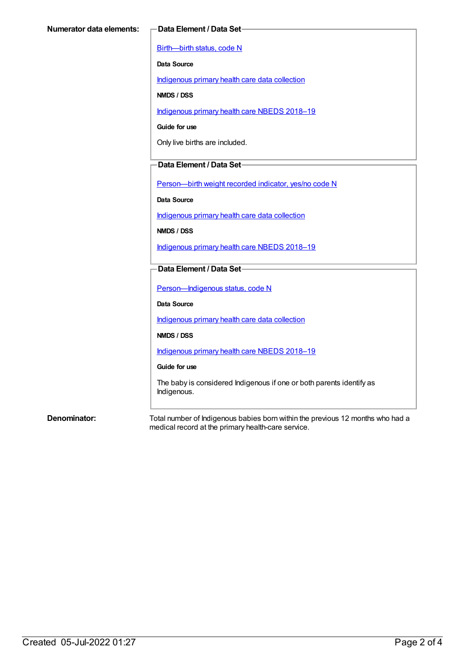[Birth—birth](https://meteor.aihw.gov.au/content/269949) status, code N

**Data Source**

[Indigenous](https://meteor.aihw.gov.au/content/430643) primary health care data collection

**NMDS / DSS**

[Indigenous](https://meteor.aihw.gov.au/content/694101) primary health care NBEDS 2018-19

**Guide for use**

Only live births are included.

#### **Data Element / Data Set**

[Person—birth](https://meteor.aihw.gov.au/content/441701) weight recorded indicator, yes/no code N

**Data Source**

[Indigenous](https://meteor.aihw.gov.au/content/430643) primary health care data collection

**NMDS / DSS**

[Indigenous](https://meteor.aihw.gov.au/content/694101) primary health care NBEDS 2018–19

#### **Data Element / Data Set**

[Person—Indigenous](https://meteor.aihw.gov.au/content/602543) status, code N

**Data Source**

[Indigenous](https://meteor.aihw.gov.au/content/430643) primary health care data collection

**NMDS / DSS**

[Indigenous](https://meteor.aihw.gov.au/content/694101) primary health care NBEDS 2018-19

**Guide for use**

The baby is considered Indigenous if one or both parents identify as Indigenous.

**Denominator:** Total number of Indigenous babies born within the previous 12 months who had a medical record at the primary health-care service.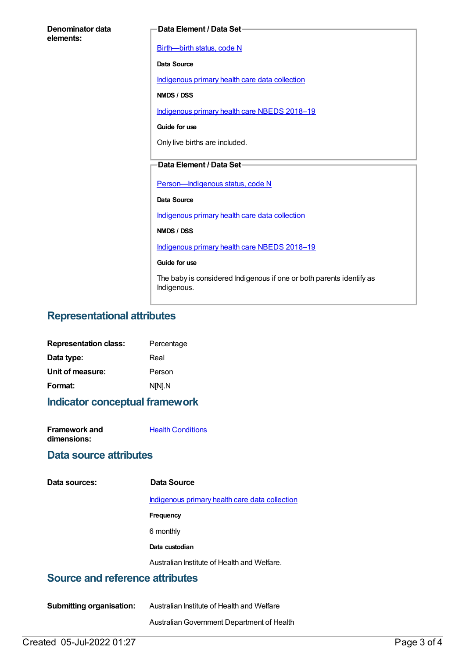| Denominator data<br>elements: | Data Element / Data Set-                                                            |
|-------------------------------|-------------------------------------------------------------------------------------|
|                               | Birth-birth status, code N                                                          |
|                               | <b>Data Source</b>                                                                  |
|                               | Indigenous primary health care data collection                                      |
|                               | NMDS / DSS                                                                          |
|                               | Indigenous primary health care NBEDS 2018-19                                        |
|                               | Guide for use                                                                       |
|                               | Only live births are included.                                                      |
|                               |                                                                                     |
|                               | Data Element / Data Set-                                                            |
|                               | Person-Indigenous status, code N                                                    |
|                               | Data Source                                                                         |
|                               | Indigenous primary health care data collection                                      |
|                               | <b>NMDS / DSS</b>                                                                   |
|                               | Indigenous primary health care NBEDS 2018-19                                        |
|                               | Guide for use                                                                       |
|                               | The baby is considered Indigenous if one or both parents identify as<br>Indigenous. |

### **Representational attributes**

| <b>Representation class:</b> | Percentage |
|------------------------------|------------|
| Data type:                   | Real       |
| Unit of measure:             | Person     |
| Format:                      | N[N].N     |

### **Indicator conceptual framework**

**Framework and dimensions: Health [Conditions](https://meteor.aihw.gov.au/content/410650)** 

#### **Data source attributes**

**Data sources: Data Source**

[Indigenous](https://meteor.aihw.gov.au/content/430643) primary health care data collection

**Frequency**

6 monthly

#### **Data custodian**

Australian Institute of Health and Welfare.

## **Source and reference attributes**

**Submitting organisation:** Australian Institute of Health and Welfare

AustralianGovernment Department of Health